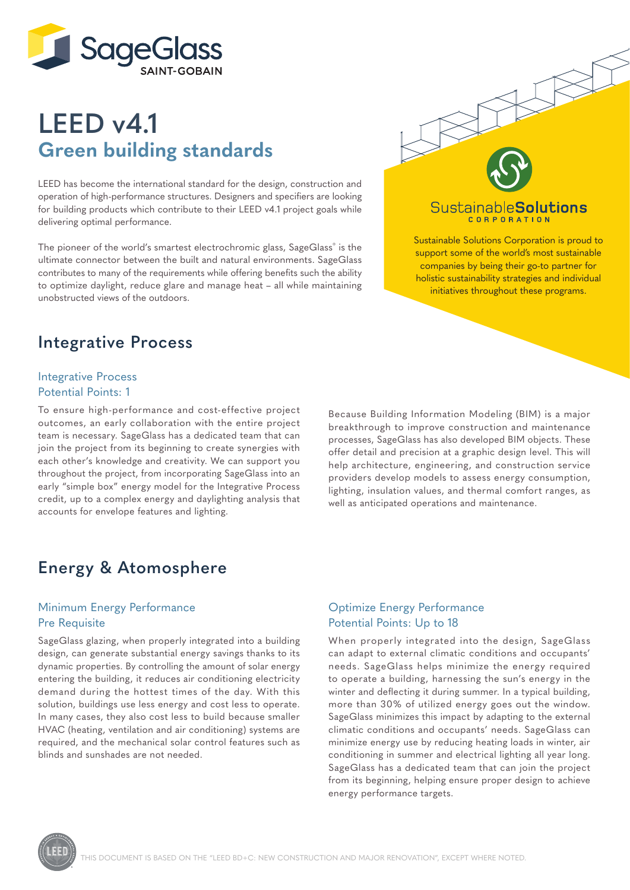

# **LEED v4.1 Green building standards**

LEED has become the international standard for the design, construction and operation of high-performance structures. Designers and specifiers are looking for building products which contribute to their LEED v4.1 project goals while delivering optimal performance.

The pioneer of the world's smartest electrochromic glass, SageGlass® is the ultimate connector between the built and natural environments. SageGlass contributes to many of the requirements while offering benefits such the ability to optimize daylight, reduce glare and manage heat – all while maintaining unobstructed views of the outdoors.

# **Integrative Process**

# Integrative Process Potential Points: 1

To ensure high-performance and cost-effective project outcomes, an early collaboration with the entire project team is necessary. SageGlass has a dedicated team that can join the project from its beginning to create synergies with each other's knowledge and creativity. We can support you throughout the project, from incorporating SageGlass into an early "simple box" energy model for the Integrative Process credit, up to a complex energy and daylighting analysis that accounts for envelope features and lighting.

Because Building Information Modeling (BIM) is a major breakthrough to improve construction and maintenance processes, SageGlass has also developed BIM objects. These offer detail and precision at a graphic design level. This will help architecture, engineering, and construction service providers develop models to assess energy consumption, lighting, insulation values, and thermal comfort ranges, as well as anticipated operations and maintenance.

Sustainable Solutions Corporation is proud to support some of the world's most sustainable companies by being their go-to partner for holistic sustainability strategies and individual initiatives throughout these programs.

**SustainableSolutions** CORPORATION

# **Energy & Atomosphere**

# Minimum Energy Performance Pre Requisite

SageGlass glazing, when properly integrated into a building design, can generate substantial energy savings thanks to its dynamic properties. By controlling the amount of solar energy entering the building, it reduces air conditioning electricity demand during the hottest times of the day. With this solution, buildings use less energy and cost less to operate. In many cases, they also cost less to build because smaller HVAC (heating, ventilation and air conditioning) systems are required, and the mechanical solar control features such as blinds and sunshades are not needed.

# Optimize Energy Performance Potential Points: Up to 18

When properly integrated into the design, SageGlass can adapt to external climatic conditions and occupants' needs. SageGlass helps minimize the energy required to operate a building, harnessing the sun's energy in the winter and deflecting it during summer. In a typical building, more than 30% of utilized energy goes out the window. SageGlass minimizes this impact by adapting to the external climatic conditions and occupants' needs. SageGlass can minimize energy use by reducing heating loads in winter, air conditioning in summer and electrical lighting all year long. SageGlass has a dedicated team that can join the project from its beginning, helping ensure proper design to achieve energy performance targets.

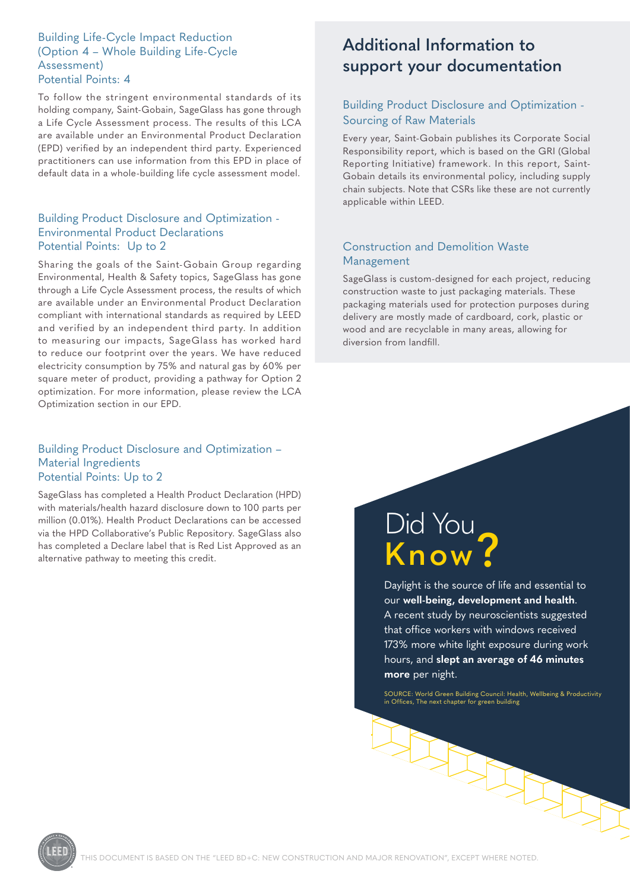#### Building Life-Cycle Impact Reduction (Option 4 – Whole Building Life-Cycle Assessment) Potential Points: 4

To follow the stringent environmental standards of its holding company, Saint-Gobain, SageGlass has gone through a Life Cycle Assessment process. The results of this LCA are available under an Environmental Product Declaration (EPD) verified by an independent third party. Experienced practitioners can use information from this EPD in place of default data in a whole-building life cycle assessment model.

### Building Product Disclosure and Optimization - Environmental Product Declarations Potential Points: Up to 2

Sharing the goals of the Saint-Gobain Group regarding Environmental, Health & Safety topics, SageGlass has gone through a Life Cycle Assessment process, the results of which are available under an Environmental Product Declaration compliant with international standards as required by LEED and verified by an independent third party. In addition to measuring our impacts, SageGlass has worked hard to reduce our footprint over the years. We have reduced electricity consumption by 75% and natural gas by 60% per square meter of product, providing a pathway for Option 2 optimization. For more information, please review the LCA Optimization section in our EPD.

### Building Product Disclosure and Optimization – Material Ingredients Potential Points: Up to 2

SageGlass has completed a Health Product Declaration (HPD) with materials/health hazard disclosure down to 100 parts per million (0.01%). Health Product Declarations can be accessed via the HPD Collaborative's Public Repository. SageGlass also has completed a Declare label that is Red List Approved as an alternative pathway to meeting this credit.

# **Additional Information to support your documentation**

# Building Product Disclosure and Optimization - Sourcing of Raw Materials

Every year, Saint-Gobain publishes its Corporate Social Responsibility report, which is based on the GRI (Global Reporting Initiative) framework. In this report, Saint-Gobain details its environmental policy, including supply chain subjects. Note that CSRs like these are not currently applicable within LEED.

# Construction and Demolition Waste Management

SageGlass is custom-designed for each project, reducing construction waste to just packaging materials. These packaging materials used for protection purposes during delivery are mostly made of cardboard, cork, plastic or wood and are recyclable in many areas, allowing for diversion from landfill.

# Did You **Know?**

Daylight is the source of life and essential to our **well-being, development and health**. A recent study by neuroscientists suggested that office workers with windows received 173% more white light exposure during work hours, and **slept an average of 46 minutes more** per night.

SOURCE: World Green Building Council: Health, Wellbeing & Productivity in Offices, The next chapter for green building